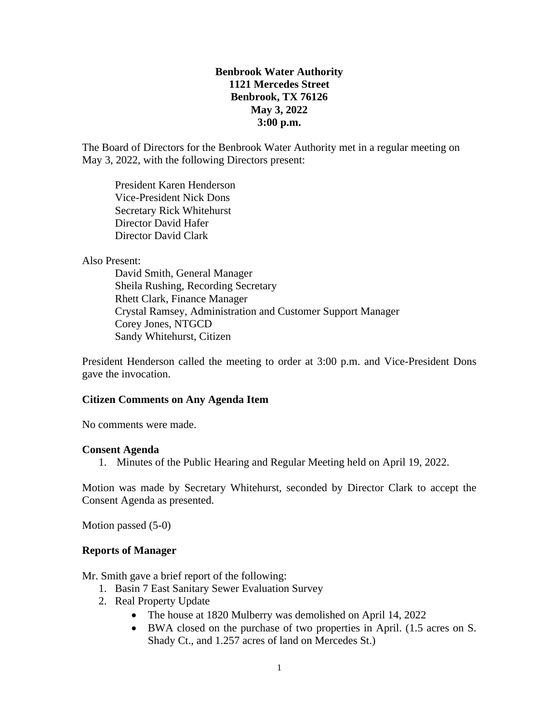# **Benbrook Water Authority 1121 Mercedes Street Benbrook, TX 76126 May 3, 2022 3:00 p.m.**

The Board of Directors for the Benbrook Water Authority met in a regular meeting on May 3, 2022, with the following Directors present:

President Karen Henderson Vice-President Nick Dons Secretary Rick Whitehurst Director David Hafer Director David Clark

#### Also Present:

David Smith, General Manager Sheila Rushing, Recording Secretary Rhett Clark, Finance Manager Crystal Ramsey, Administration and Customer Support Manager Corey Jones, NTGCD Sandy Whitehurst, Citizen

President Henderson called the meeting to order at 3:00 p.m. and Vice-President Dons gave the invocation.

#### **Citizen Comments on Any Agenda Item**

No comments were made.

#### **Consent Agenda**

1. Minutes of the Public Hearing and Regular Meeting held on April 19, 2022.

Motion was made by Secretary Whitehurst, seconded by Director Clark to accept the Consent Agenda as presented.

Motion passed (5-0)

#### **Reports of Manager**

Mr. Smith gave a brief report of the following:

- 1. Basin 7 East Sanitary Sewer Evaluation Survey
- 2. Real Property Update
	- The house at 1820 Mulberry was demolished on April 14, 2022
	- BWA closed on the purchase of two properties in April. (1.5 acres on S. Shady Ct., and 1.257 acres of land on Mercedes St.)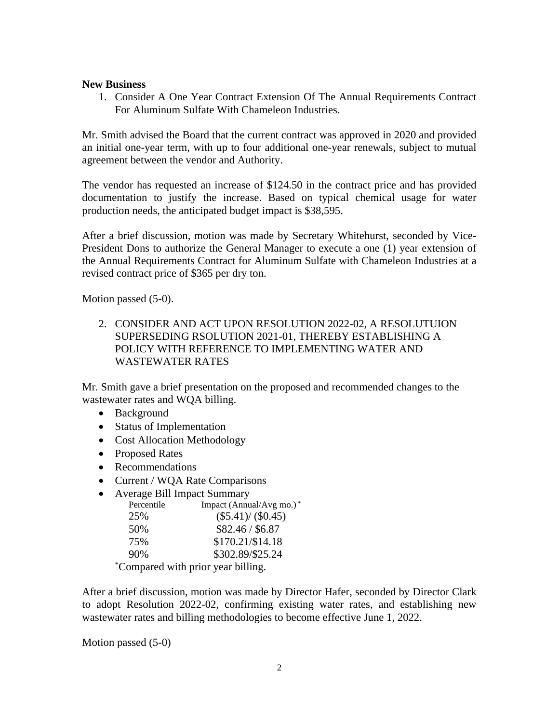### **New Business**

1. Consider A One Year Contract Extension Of The Annual Requirements Contract For Aluminum Sulfate With Chameleon Industries.

Mr. Smith advised the Board that the current contract was approved in 2020 and provided an initial one-year term, with up to four additional one-year renewals, subject to mutual agreement between the vendor and Authority.

The vendor has requested an increase of \$124.50 in the contract price and has provided documentation to justify the increase. Based on typical chemical usage for water production needs, the anticipated budget impact is \$38,595.

After a brief discussion, motion was made by Secretary Whitehurst, seconded by Vice-President Dons to authorize the General Manager to execute a one (1) year extension of the Annual Requirements Contract for Aluminum Sulfate with Chameleon Industries at a revised contract price of \$365 per dry ton.

Motion passed (5-0).

2. CONSIDER AND ACT UPON RESOLUTION 2022-02, A RESOLUTUION SUPERSEDING RSOLUTION 2021-01, THEREBY ESTABLISHING A POLICY WITH REFERENCE TO IMPLEMENTING WATER AND WASTEWATER RATES

Mr. Smith gave a brief presentation on the proposed and recommended changes to the wastewater rates and WQA billing.

- Background
- Status of Implementation
- Cost Allocation Methodology
- Proposed Rates
- Recommendations
- Current / WQA Rate Comparisons
- Average Bill Impact Summary

| Percentile | Impact (Annual/Avg mo.)* |
|------------|--------------------------|
| 25%        | $(\$5.41)/(\$0.45)$      |
| 50%        | \$82.46 / \$6.87         |
| 75%        | \$170.21/\$14.18         |
| 90%        | \$302.89/\$25.24         |
|            |                          |

\*Compared with prior year billing.

After a brief discussion, motion was made by Director Hafer, seconded by Director Clark to adopt Resolution 2022-02, confirming existing water rates, and establishing new wastewater rates and billing methodologies to become effective June 1, 2022.

Motion passed (5-0)